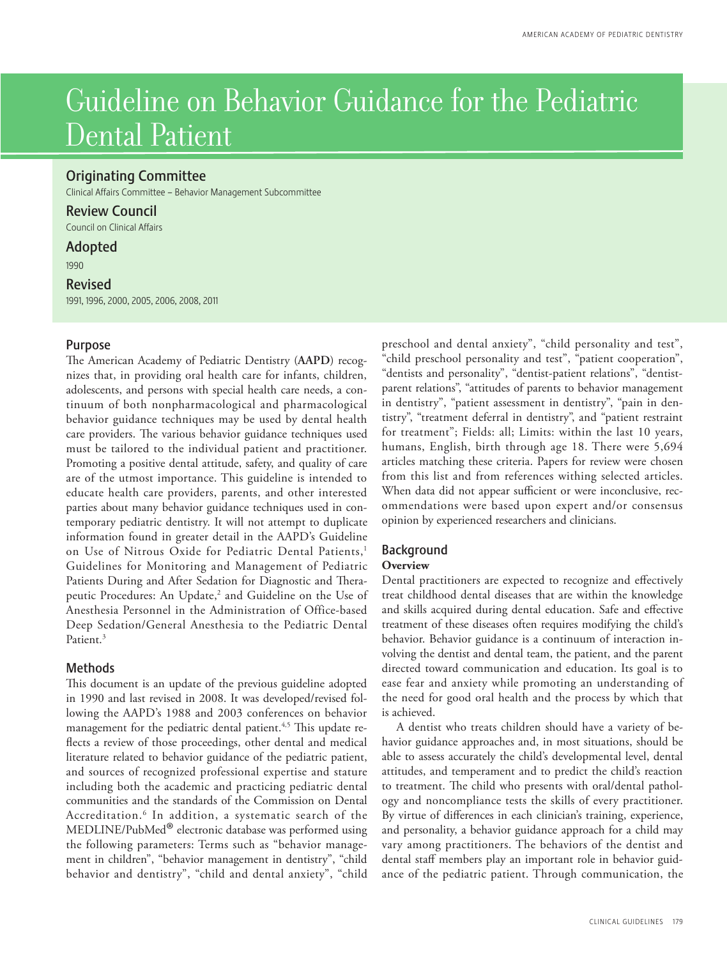# Guideline on Behavior Guidance for the Pediatric Dental Patient

# Originating Committee

Clinical Affairs Committee – Behavior Management Subcommittee

Review Council Council on Clinical Affairs

## Adopted

1990

## Revised

1991, 1996, 2000, 2005, 2006, 2008, 2011

## Purpose

The American Academy of Pediatric Dentistry (**AAPD**) recognizes that, in providing oral health care for infants, children, adolescents, and persons with special health care needs, a continuum of both nonpharmacological and pharmacological behavior guidance techniques may be used by dental health care providers. The various behavior guidance techniques used must be tailored to the individual patient and practitioner. Promoting a positive dental attitude, safety, and quality of care are of the utmost importance. This guideline is intended to educate health care providers, parents, and other interested parties about many behavior guidance techniques used in contemporary pediatric dentistry. It will not attempt to duplicate information found in greater detail in the AAPD's Guideline on Use of Nitrous Oxide for Pediatric Dental Patients,<sup>1</sup> Guidelines for Monitoring and Management of Pediatric Patients During and After Sedation for Diagnostic and Therapeutic Procedures: An Update,<sup>2</sup> and Guideline on the Use of Anesthesia Personnel in the Administration of Office-based Deep Sedation/General Anesthesia to the Pediatric Dental Patient.<sup>3</sup>

## Methods

This document is an update of the previous guideline adopted in 1990 and last revised in 2008. It was developed/revised following the AAPD's 1988 and 2003 conferences on behavior management for the pediatric dental patient.<sup>4,5</sup> This update reflects a review of those proceedings, other dental and medical literature related to behavior guidance of the pediatric patient, and sources of recognized professional expertise and stature including both the academic and practicing pediatric dental communities and the standards of the Commission on Dental Accreditation.6 In addition, a systematic search of the MEDLINE/PubMed® electronic database was performed using the following parameters: Terms such as "behavior management in children", "behavior management in dentistry", "child behavior and dentistry", "child and dental anxiety", "child

preschool and dental anxiety", "child personality and test", "child preschool personality and test", "patient cooperation", "dentists and personality", "dentist-patient relations", "dentistparent relations", "attitudes of parents to behavior management in dentistry", "patient assessment in dentistry", "pain in dentistry", "treatment deferral in dentistry", and "patient restraint for treatment"; Fields: all; Limits: within the last 10 years, humans, English, birth through age 18. There were 5,694 articles matching these criteria. Papers for review were chosen from this list and from references withing selected articles. When data did not appear sufficient or were inconclusive, recommendations were based upon expert and/or consensus opinion by experienced researchers and clinicians.

# Background

## **Overview**

Dental practitioners are expected to recognize and effectively treat childhood dental diseases that are within the knowledge and skills acquired during dental education. Safe and effective treatment of these diseases often requires modifying the child's behavior. Behavior guidance is a continuum of interaction involving the dentist and dental team, the patient, and the parent directed toward communication and education. Its goal is to ease fear and anxiety while promoting an understanding of the need for good oral health and the process by which that is achieved.

A dentist who treats children should have a variety of behavior guidance approaches and, in most situations, should be able to assess accurately the child's developmental level, dental attitudes, and temperament and to predict the child's reaction to treatment. The child who presents with oral/dental pathology and noncompliance tests the skills of every practitioner. By virtue of differences in each clinician's training, experience, and personality, a behavior guidance approach for a child may vary among practitioners. The behaviors of the dentist and dental staff members play an important role in behavior guidance of the pediatric patient. Through communication, the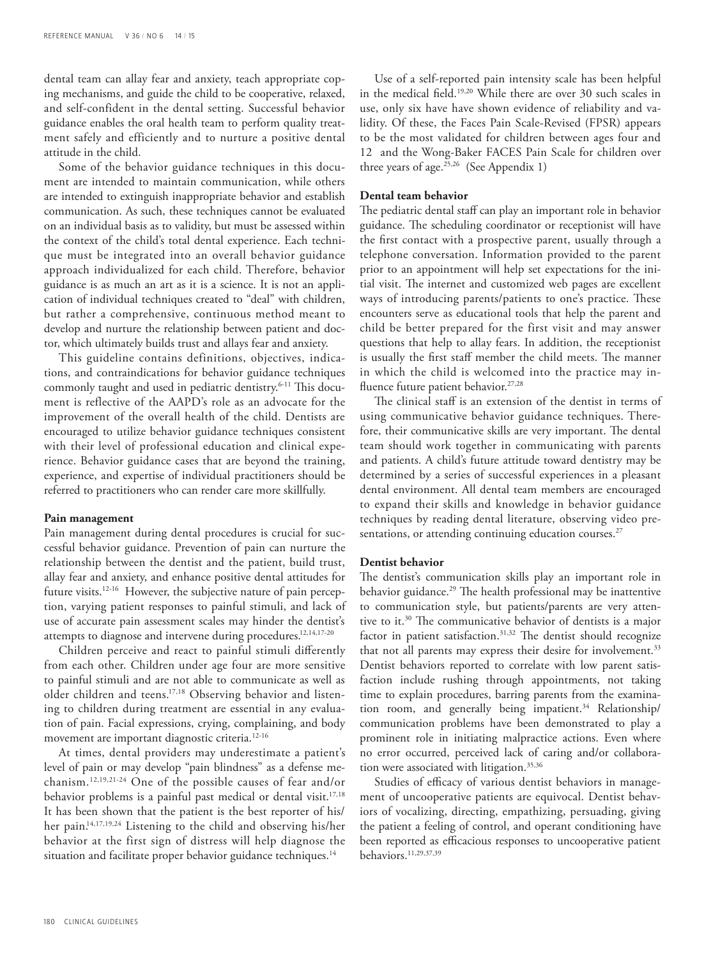dental team can allay fear and anxiety, teach appropriate coping mechanisms, and guide the child to be cooperative, relaxed, and self-confident in the dental setting. Successful behavior guidance enables the oral health team to perform quality treatment safely and efficiently and to nurture a positive dental attitude in the child.

Some of the behavior guidance techniques in this document are intended to maintain communication, while others are intended to extinguish inappropriate behavior and establish communication. As such, these techniques cannot be evaluated on an individual basis as to validity, but must be assessed within the context of the child's total dental experience. Each technique must be integrated into an overall behavior guidance approach individualized for each child. Therefore, behavior guidance is as much an art as it is a science. It is not an application of individual techniques created to "deal" with children, but rather a comprehensive, continuous method meant to develop and nurture the relationship between patient and doctor, which ultimately builds trust and allays fear and anxiety.

This guideline contains definitions, objectives, indications, and contraindications for behavior guidance techniques commonly taught and used in pediatric dentistry.<sup>6-11</sup> This document is reflective of the AAPD's role as an advocate for the improvement of the overall health of the child. Dentists are encouraged to utilize behavior guidance techniques consistent with their level of professional education and clinical experience. Behavior guidance cases that are beyond the training, experience, and expertise of individual practitioners should be referred to practitioners who can render care more skillfully.

#### **Pain management**

Pain management during dental procedures is crucial for successful behavior guidance. Prevention of pain can nurture the relationship between the dentist and the patient, build trust, allay fear and anxiety, and enhance positive dental attitudes for future visits.12-16 However, the subjective nature of pain perception, varying patient responses to painful stimuli, and lack of use of accurate pain assessment scales may hinder the dentist's attempts to diagnose and intervene during procedures.12,14,17-20

Children perceive and react to painful stimuli differently from each other. Children under age four are more sensitive to painful stimuli and are not able to communicate as well as older children and teens.17,18 Observing behavior and listening to children during treatment are essential in any evaluation of pain. Facial expressions, crying, complaining, and body movement are important diagnostic criteria.12-16

At times, dental providers may underestimate a patient's level of pain or may develop "pain blindness" as a defense mechanism.12,19,21-24 One of the possible causes of fear and/or behavior problems is a painful past medical or dental visit.<sup>17,18</sup> It has been shown that the patient is the best reporter of his/ her pain.14,17,19,24 Listening to the child and observing his/her behavior at the first sign of distress will help diagnose the situation and facilitate proper behavior guidance techniques.<sup>14</sup>

Use of a self-reported pain intensity scale has been helpful in the medical field.19,20 While there are over 30 such scales in use, only six have have shown evidence of reliability and validity. Of these, the Faces Pain Scale-Revised (FPSR) appears to be the most validated for children between ages four and 12 and the Wong-Baker FACES Pain Scale for children over three years of age.<sup>25,26</sup> (See Appendix 1)

#### **Dental team behavior**

The pediatric dental staff can play an important role in behavior guidance. The scheduling coordinator or receptionist will have the first contact with a prospective parent, usually through a telephone conversation. Information provided to the parent prior to an appointment will help set expectations for the initial visit. The internet and customized web pages are excellent ways of introducing parents/patients to one's practice. These encounters serve as educational tools that help the parent and child be better prepared for the first visit and may answer questions that help to allay fears. In addition, the receptionist is usually the first staff member the child meets. The manner in which the child is welcomed into the practice may influence future patient behavior.<sup>27,28</sup>

The clinical staff is an extension of the dentist in terms of using communicative behavior guidance techniques. Therefore, their communicative skills are very important. The dental team should work together in communicating with parents and patients. A child's future attitude toward dentistry may be determined by a series of successful experiences in a pleasant dental environment. All dental team members are encouraged to expand their skills and knowledge in behavior guidance techniques by reading dental literature, observing video presentations, or attending continuing education courses.<sup>27</sup>

#### **Dentist behavior**

The dentist's communication skills play an important role in behavior guidance.<sup>29</sup> The health professional may be inattentive to communication style, but patients/parents are very attentive to it.30 The communicative behavior of dentists is a major factor in patient satisfaction.<sup>31,32</sup> The dentist should recognize that not all parents may express their desire for involvement.<sup>33</sup> Dentist behaviors reported to correlate with low parent satisfaction include rushing through appointments, not taking time to explain procedures, barring parents from the examination room, and generally being impatient.<sup>34</sup> Relationship/ communication problems have been demonstrated to play a prominent role in initiating malpractice actions. Even where no error occurred, perceived lack of caring and/or collaboration were associated with litigation.<sup>35,36</sup>

Studies of efficacy of various dentist behaviors in management of uncooperative patients are equivocal. Dentist behaviors of vocalizing, directing, empathizing, persuading, giving the patient a feeling of control, and operant conditioning have been reported as efficacious responses to uncooperative patient behaviors.11,29,37,39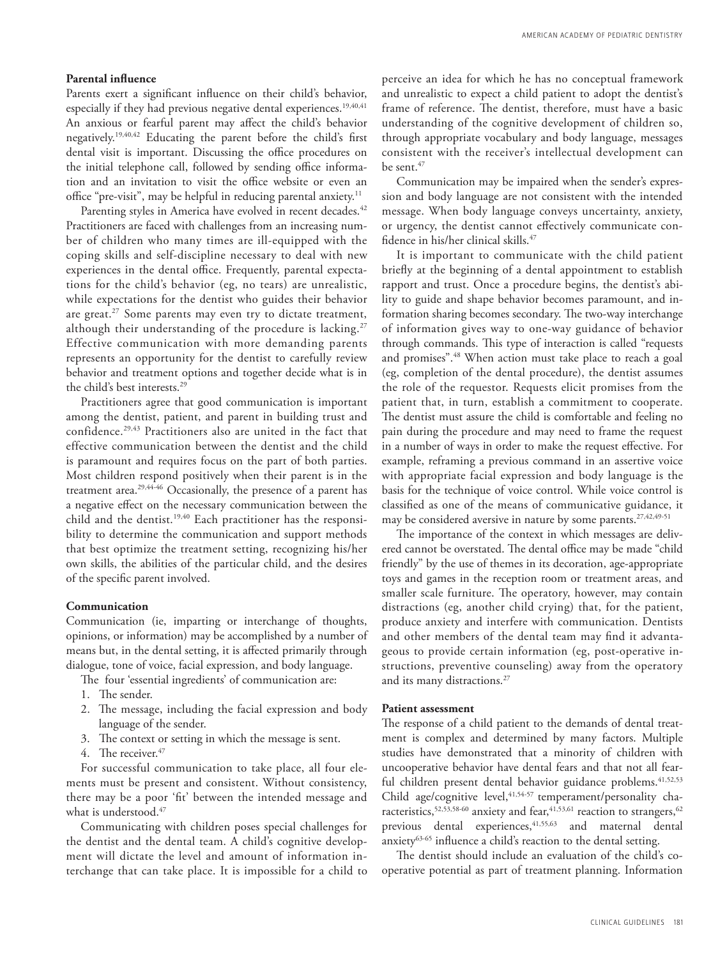#### **Parental influence**

Parents exert a significant influence on their child's behavior, especially if they had previous negative dental experiences.<sup>19,40,41</sup> An anxious or fearful parent may affect the child's behavior negatively.19,40,42 Educating the parent before the child's first dental visit is important. Discussing the office procedures on the initial telephone call, followed by sending office information and an invitation to visit the office website or even an office "pre-visit", may be helpful in reducing parental anxiety.<sup>11</sup>

Parenting styles in America have evolved in recent decades.<sup>42</sup> Practitioners are faced with challenges from an increasing number of children who many times are ill-equipped with the coping skills and self-discipline necessary to deal with new experiences in the dental office. Frequently, parental expectations for the child's behavior (eg, no tears) are unrealistic, while expectations for the dentist who guides their behavior are great.<sup>27</sup> Some parents may even try to dictate treatment, although their understanding of the procedure is lacking.<sup>27</sup> Effective communication with more demanding parents represents an opportunity for the dentist to carefully review behavior and treatment options and together decide what is in the child's best interests.29

Practitioners agree that good communication is important among the dentist, patient, and parent in building trust and confidence.29,43 Practitioners also are united in the fact that effective communication between the dentist and the child is paramount and requires focus on the part of both parties. Most children respond positively when their parent is in the treatment area.<sup>29,44-46</sup> Occasionally, the presence of a parent has a negative effect on the necessary communication between the child and the dentist.<sup>19,40</sup> Each practitioner has the responsibility to determine the communication and support methods that best optimize the treatment setting, recognizing his/her own skills, the abilities of the particular child, and the desires of the specific parent involved.

#### **Communication**

Communication (ie, imparting or interchange of thoughts, opinions, or information) may be accomplished by a number of means but, in the dental setting, it is affected primarily through dialogue, tone of voice, facial expression, and body language.

The four 'essential ingredients' of communication are:

- 1. The sender.
- 2. The message, including the facial expression and body language of the sender.
- 3. The context or setting in which the message is sent.
- 4. The receiver. 47

For successful communication to take place, all four elements must be present and consistent. Without consistency, there may be a poor 'fit' between the intended message and what is understood.<sup>47</sup>

Communicating with children poses special challenges for the dentist and the dental team. A child's cognitive development will dictate the level and amount of information interchange that can take place. It is impossible for a child to

perceive an idea for which he has no conceptual framework and unrealistic to expect a child patient to adopt the dentist's frame of reference. The dentist, therefore, must have a basic understanding of the cognitive development of children so, through appropriate vocabulary and body language, messages consistent with the receiver's intellectual development can be sent.<sup>47</sup>

Communication may be impaired when the sender's expression and body language are not consistent with the intended message. When body language conveys uncertainty, anxiety, or urgency, the dentist cannot effectively communicate confidence in his/her clinical skills.<sup>47</sup>

It is important to communicate with the child patient briefly at the beginning of a dental appointment to establish rapport and trust. Once a procedure begins, the dentist's ability to guide and shape behavior becomes paramount, and information sharing becomes secondary. The two-way interchange of information gives way to one-way guidance of behavior through commands. This type of interaction is called "requests and promises".48 When action must take place to reach a goal (eg, completion of the dental procedure), the dentist assumes the role of the requestor. Requests elicit promises from the patient that, in turn, establish a commitment to cooperate. The dentist must assure the child is comfortable and feeling no pain during the procedure and may need to frame the request in a number of ways in order to make the request effective. For example, reframing a previous command in an assertive voice with appropriate facial expression and body language is the basis for the technique of voice control. While voice control is classified as one of the means of communicative guidance, it may be considered aversive in nature by some parents.<sup>27,42,49-51</sup>

The importance of the context in which messages are delivered cannot be overstated. The dental office may be made "child friendly" by the use of themes in its decoration, age-appropriate toys and games in the reception room or treatment areas, and smaller scale furniture. The operatory, however, may contain distractions (eg, another child crying) that, for the patient, produce anxiety and interfere with communication. Dentists and other members of the dental team may find it advantageous to provide certain information (eg, post-operative instructions, preventive counseling) away from the operatory and its many distractions.<sup>27</sup>

#### **Patient assessment**

The response of a child patient to the demands of dental treatment is complex and determined by many factors. Multiple studies have demonstrated that a minority of children with uncooperative behavior have dental fears and that not all fearful children present dental behavior guidance problems.<sup>41,52,53</sup> Child age/cognitive level, 41,54-57 temperament/personality characteristics,  $52,53,58-60$  anxiety and fear,  $41,53,61$  reaction to strangers,  $62$ previous dental experiences, 41,55,63 and maternal dental anxiety63-65 influence a child's reaction to the dental setting.

The dentist should include an evaluation of the child's cooperative potential as part of treatment planning. Information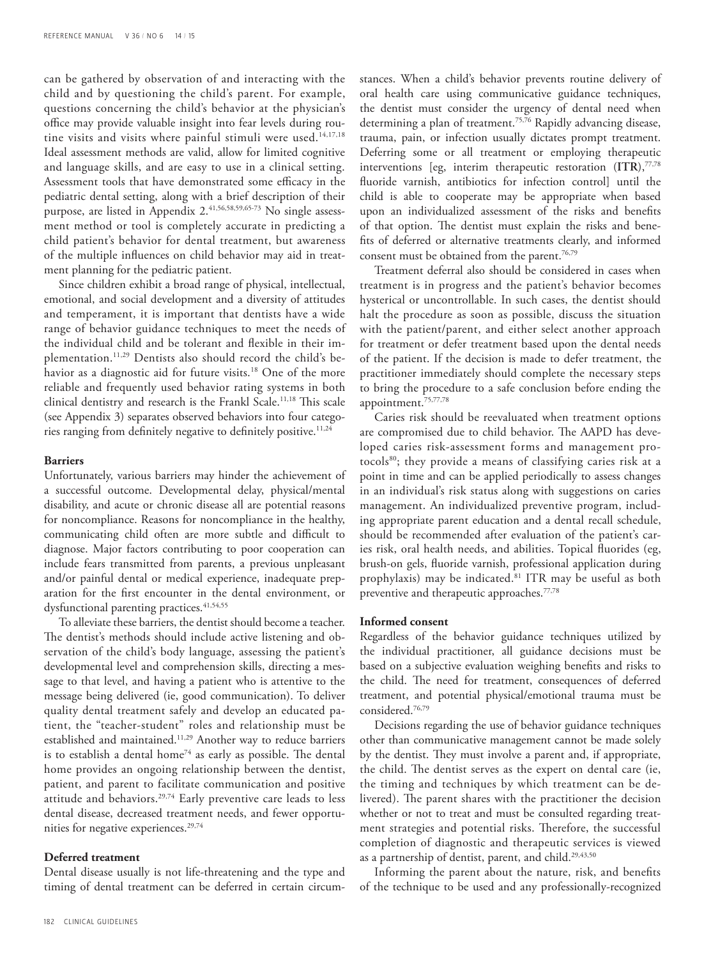can be gathered by observation of and interacting with the child and by questioning the child's parent. For example, questions concerning the child's behavior at the physician's office may provide valuable insight into fear levels during routine visits and visits where painful stimuli were used.<sup>14,17,18</sup> Ideal assessment methods are valid, allow for limited cognitive and language skills, and are easy to use in a clinical setting. Assessment tools that have demonstrated some efficacy in the pediatric dental setting, along with a brief description of their purpose, are listed in Appendix 2.<sup>41,56,58,59,65-73</sup> No single assessment method or tool is completely accurate in predicting a child patient's behavior for dental treatment, but awareness of the multiple influences on child behavior may aid in treatment planning for the pediatric patient.

Since children exhibit a broad range of physical, intellectual, emotional, and social development and a diversity of attitudes and temperament, it is important that dentists have a wide range of behavior guidance techniques to meet the needs of the individual child and be tolerant and flexible in their implementation.<sup>11,29</sup> Dentists also should record the child's behavior as a diagnostic aid for future visits.<sup>18</sup> One of the more reliable and frequently used behavior rating systems in both clinical dentistry and research is the Frankl Scale.<sup>11,18</sup> This scale (see Appendix 3) separates observed behaviors into four categories ranging from definitely negative to definitely positive.<sup>11,24</sup>

## **Barriers**

Unfortunately, various barriers may hinder the achievement of a successful outcome. Developmental delay, physical/mental disability, and acute or chronic disease all are potential reasons for noncompliance. Reasons for noncompliance in the healthy, communicating child often are more subtle and difficult to diagnose. Major factors contributing to poor cooperation can include fears transmitted from parents, a previous unpleasant and/or painful dental or medical experience, inadequate preparation for the first encounter in the dental environment, or dysfunctional parenting practices.  $41,54,55$ 

To alleviate these barriers, the dentist should become a teacher. The dentist's methods should include active listening and observation of the child's body language, assessing the patient's developmental level and comprehension skills, directing a message to that level, and having a patient who is attentive to the message being delivered (ie, good communication). To deliver quality dental treatment safely and develop an educated patient, the "teacher-student" roles and relationship must be established and maintained.<sup>11,29</sup> Another way to reduce barriers is to establish a dental home<sup>74</sup> as early as possible. The dental home provides an ongoing relationship between the dentist, patient, and parent to facilitate communication and positive attitude and behaviors.<sup>29,74</sup> Early preventive care leads to less dental disease, decreased treatment needs, and fewer opportunities for negative experiences.<sup>29,74</sup>

#### **Deferred treatment**

Dental disease usually is not life-threatening and the type and timing of dental treatment can be deferred in certain circumstances. When a child's behavior prevents routine delivery of oral health care using communicative guidance techniques, the dentist must consider the urgency of dental need when determining a plan of treatment.<sup>75,76</sup> Rapidly advancing disease, trauma, pain, or infection usually dictates prompt treatment. Deferring some or all treatment or employing therapeutic interventions [eg, interim therapeutic restoration (ITR),<sup>77,78</sup> fluoride varnish, antibiotics for infection control] until the child is able to cooperate may be appropriate when based upon an individualized assessment of the risks and benefits of that option. The dentist must explain the risks and benefits of deferred or alternative treatments clearly, and informed consent must be obtained from the parent.<sup>76,79</sup>

Treatment deferral also should be considered in cases when treatment is in progress and the patient's behavior becomes hysterical or uncontrollable. In such cases, the dentist should halt the procedure as soon as possible, discuss the situation with the patient/parent, and either select another approach for treatment or defer treatment based upon the dental needs of the patient. If the decision is made to defer treatment, the practitioner immediately should complete the necessary steps to bring the procedure to a safe conclusion before ending the appointment.75,77,78

Caries risk should be reevaluated when treatment options are compromised due to child behavior. The AAPD has developed caries risk-assessment forms and management protocols80; they provide a means of classifying caries risk at a point in time and can be applied periodically to assess changes in an individual's risk status along with suggestions on caries management. An individualized preventive program, including appropriate parent education and a dental recall schedule, should be recommended after evaluation of the patient's caries risk, oral health needs, and abilities. Topical fluorides (eg, brush-on gels, fluoride varnish, professional application during prophylaxis) may be indicated.81 ITR may be useful as both preventive and therapeutic approaches.77,78

#### **Informed consent**

Regardless of the behavior guidance techniques utilized by the individual practitioner, all guidance decisions must be based on a subjective evaluation weighing benefits and risks to the child. The need for treatment, consequences of deferred treatment, and potential physical/emotional trauma must be considered.76,79

Decisions regarding the use of behavior guidance techniques other than communicative management cannot be made solely by the dentist. They must involve a parent and, if appropriate, the child. The dentist serves as the expert on dental care (ie, the timing and techniques by which treatment can be delivered). The parent shares with the practitioner the decision whether or not to treat and must be consulted regarding treatment strategies and potential risks. Therefore, the successful completion of diagnostic and therapeutic services is viewed as a partnership of dentist, parent, and child.29,43,50

Informing the parent about the nature, risk, and benefits of the technique to be used and any professionally-recognized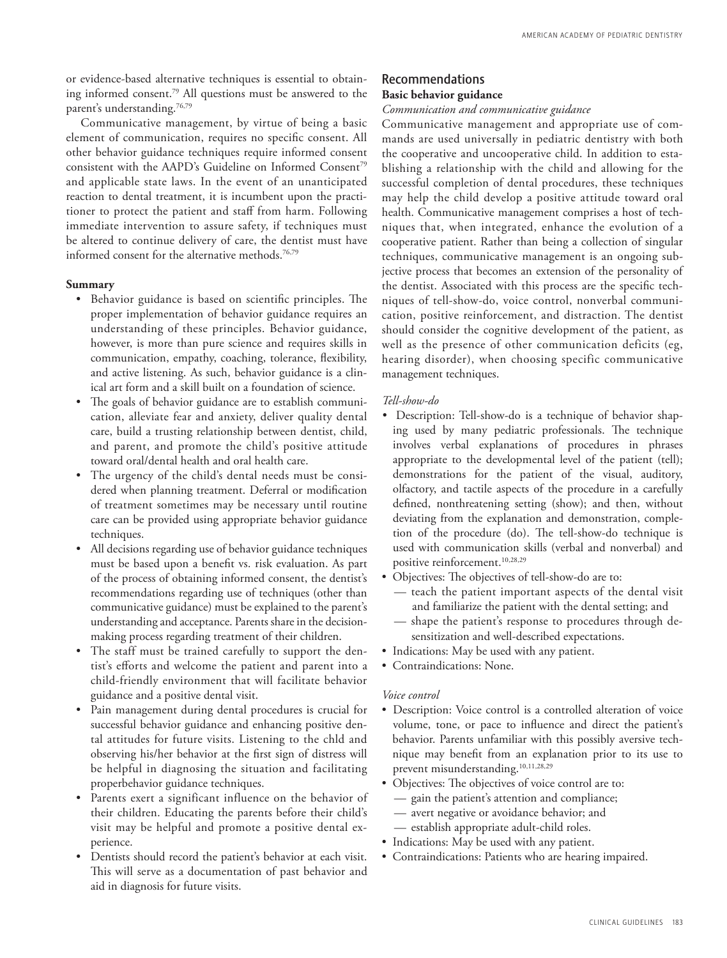or evidence-based alternative techniques is essential to obtaining informed consent.79 All questions must be answered to the parent's understanding.<sup>76,79</sup>

Communicative management, by virtue of being a basic element of communication, requires no specific consent. All other behavior guidance techniques require informed consent consistent with the AAPD's Guideline on Informed Consent<sup>79</sup> and applicable state laws. In the event of an unanticipated reaction to dental treatment, it is incumbent upon the practitioner to protect the patient and staff from harm. Following immediate intervention to assure safety, if techniques must be altered to continue delivery of care, the dentist must have informed consent for the alternative methods.<sup>76,79</sup>

#### **Summary**

- Behavior guidance is based on scientific principles. The proper implementation of behavior guidance requires an understanding of these principles. Behavior guidance, however, is more than pure science and requires skills in communication, empathy, coaching, tolerance, flexibility, and active listening. As such, behavior guidance is a clinical art form and a skill built on a foundation of science.
- The goals of behavior guidance are to establish communication, alleviate fear and anxiety, deliver quality dental care, build a trusting relationship between dentist, child, and parent, and promote the child's positive attitude toward oral/dental health and oral health care.
- The urgency of the child's dental needs must be considered when planning treatment. Deferral or modification of treatment sometimes may be necessary until routine care can be provided using appropriate behavior guidance techniques.
- All decisions regarding use of behavior guidance techniques must be based upon a benefit vs. risk evaluation. As part of the process of obtaining informed consent, the dentist's recommendations regarding use of techniques (other than communicative guidance) must be explained to the parent's understanding and acceptance. Parents share in the decisionmaking process regarding treatment of their children.
- The staff must be trained carefully to support the dentist's efforts and welcome the patient and parent into a child-friendly environment that will facilitate behavior guidance and a positive dental visit.
- Pain management during dental procedures is crucial for successful behavior guidance and enhancing positive dental attitudes for future visits. Listening to the chld and observing his/her behavior at the first sign of distress will be helpful in diagnosing the situation and facilitating properbehavior guidance techniques.
- Parents exert a significant influence on the behavior of their children. Educating the parents before their child's visit may be helpful and promote a positive dental experience.
- Dentists should record the patient's behavior at each visit. This will serve as a documentation of past behavior and aid in diagnosis for future visits.

# Recommendations

# **Basic behavior guidance**

# *Communication and communicative guidance*

Communicative management and appropriate use of commands are used universally in pediatric dentistry with both the cooperative and uncooperative child. In addition to establishing a relationship with the child and allowing for the successful completion of dental procedures, these techniques may help the child develop a positive attitude toward oral health. Communicative management comprises a host of techniques that, when integrated, enhance the evolution of a cooperative patient. Rather than being a collection of singular techniques, communicative management is an ongoing subjective process that becomes an extension of the personality of the dentist. Associated with this process are the specific techniques of tell-show-do, voice control, nonverbal communication, positive reinforcement, and distraction. The dentist should consider the cognitive development of the patient, as well as the presence of other communication deficits (eg, hearing disorder), when choosing specific communicative management techniques.

## *Tell-show-do*

- *•* Description: Tell-show-do is a technique of behavior shaping used by many pediatric professionals. The technique involves verbal explanations of procedures in phrases appropriate to the developmental level of the patient (tell); demonstrations for the patient of the visual, auditory, olfactory, and tactile aspects of the procedure in a carefully defined, nonthreatening setting (show); and then, without deviating from the explanation and demonstration, completion of the procedure (do). The tell-show-do technique is used with communication skills (verbal and nonverbal) and positive reinforcement.<sup>10,28,29</sup>
- Objectives: The objectives of tell-show-do are to:
- teach the patient important aspects of the dental visit and familiarize the patient with the dental setting; and
- shape the patient's response to procedures through de sensitization and well-described expectations.
- Indications: May be used with any patient.
- Contraindications: None.

#### *Voice control*

- Description: Voice control is a controlled alteration of voice volume, tone, or pace to influence and direct the patient's behavior. Parents unfamiliar with this possibly aversive tech nique may benefit from an explanation prior to its use to prevent misunderstanding.10,11,28,29
- Objectives: The objectives of voice control are to:
	- gain the patient's attention and compliance;
	- avert negative or avoidance behavior; and
	- establish appropriate adult-child roles.
- Indications: May be used with any patient.
- Contraindications: Patients who are hearing impaired.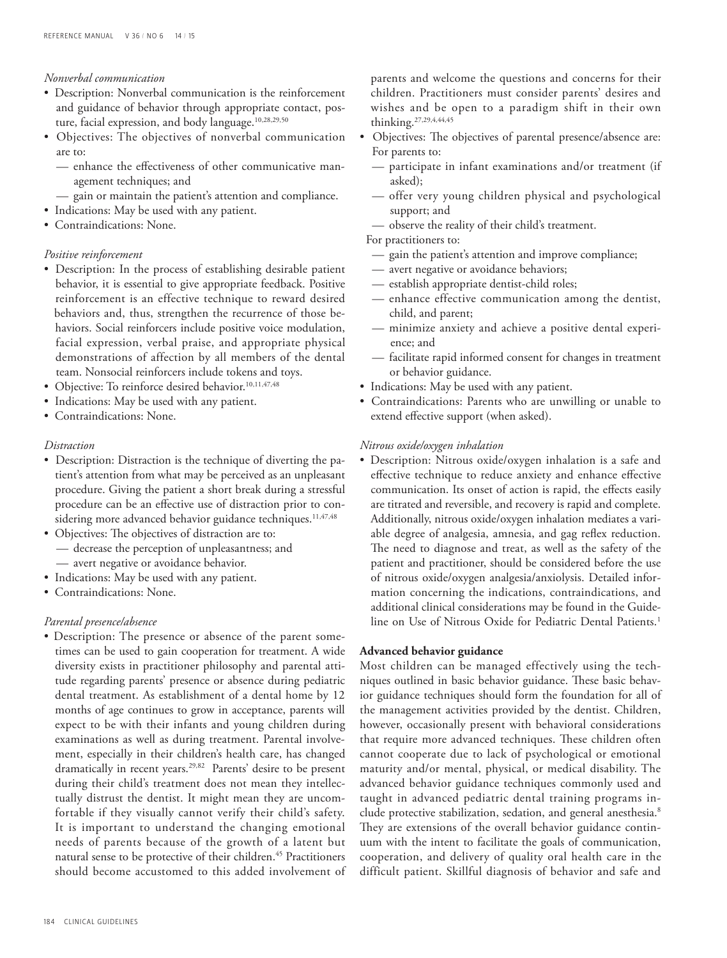#### *Nonverbal communication*

- Description: Nonverbal communication is the reinforcement and guidance of behavior through appropriate contact, pos ture, facial expression, and body language.<sup>10,28,29,50</sup>
- Objectives: The objectives of nonverbal communication are to:
	- enhance the effectiveness of other communicative man agement techniques; and
- gain or maintain the patient's attention and compliance.
- Indications: May be used with any patient.
- Contraindications: None.

## *Positive reinforcement*

- Description: In the process of establishing desirable patient behavior, it is essential to give appropriate feedback. Positive reinforcement is an effective technique to reward desired behaviors and, thus, strengthen the recurrence of those be haviors. Social reinforcers include positive voice modulation, facial expression, verbal praise, and appropriate physical demonstrations of affection by all members of the dental team. Nonsocial reinforcers include tokens and toys.
- Objective: To reinforce desired behavior.<sup>10,11,47,48</sup>
- Indications: May be used with any patient.
- Contraindications: None.

## *Distraction*

- Description: Distraction is the technique of diverting the patient's attention from what may be perceived as an unpleasant procedure. Giving the patient a short break during a stressful procedure can be an effective use of distraction prior to considering more advanced behavior guidance techniques.<sup>11,47,48</sup>
- Objectives: The objectives of distraction are to:
- decrease the perception of unpleasantness; and — avert negative or avoidance behavior.
- Indications: May be used with any patient.
- Contraindications: None.

## *Parental presence/absence*

• Description: The presence or absence of the parent sometimes can be used to gain cooperation for treatment. A wide diversity exists in practitioner philosophy and parental attitude regarding parents' presence or absence during pediatric dental treatment. As establishment of a dental home by 12 months of age continues to grow in acceptance, parents will expect to be with their infants and young children during examinations as well as during treatment. Parental involvement, especially in their children's health care, has changed dramatically in recent years.<sup>29,82</sup> Parents' desire to be present during their child's treatment does not mean they intellectually distrust the dentist. It might mean they are uncomfortable if they visually cannot verify their child's safety. It is important to understand the changing emotional needs of parents because of the growth of a latent but natural sense to be protective of their children.<sup>45</sup> Practitioners should become accustomed to this added involvement of

parents and welcome the questions and concerns for their children. Practitioners must consider parents' desires and wishes and be open to a paradigm shift in their own thinking.27,29,4,44,45

- Objectives: The objectives of parental presence/absence are: For parents to:
- participate in infant examinations and/or treatment (if asked);
- offer very young children physical and psychological support; and
- observe the reality of their child's treatment.

For practitioners to:

- gain the patient's attention and improve compliance;
- avert negative or avoidance behaviors;
- establish appropriate dentist-child roles;
- enhance effective communication among the dentist, child, and parent;
- minimize anxiety and achieve a positive dental experi ence; and
- facilitate rapid informed consent for changes in treatment or behavior guidance.
- Indications: May be used with any patient.
- Contraindications: Parents who are unwilling or unable to extend effective support (when asked).

## *Nitrous oxide/oxygen inhalation*

• Description: Nitrous oxide/oxygen inhalation is a safe and effective technique to reduce anxiety and enhance effective communication. Its onset of action is rapid, the effects easily are titrated and reversible, and recovery is rapid and complete. Additionally, nitrous oxide/oxygen inhalation mediates a variable degree of analgesia, amnesia, and gag reflex reduction. The need to diagnose and treat, as well as the safety of the patient and practitioner, should be considered before the use of nitrous oxide/oxygen analgesia/anxiolysis. Detailed information concerning the indications, contraindications, and additional clinical considerations may be found in the Guideline on Use of Nitrous Oxide for Pediatric Dental Patients.<sup>1</sup>

## **Advanced behavior guidance**

Most children can be managed effectively using the techniques outlined in basic behavior guidance. These basic behavior guidance techniques should form the foundation for all of the management activities provided by the dentist. Children, however, occasionally present with behavioral considerations that require more advanced techniques. These children often cannot cooperate due to lack of psychological or emotional maturity and/or mental, physical, or medical disability. The advanced behavior guidance techniques commonly used and taught in advanced pediatric dental training programs include protective stabilization, sedation, and general anesthesia.<sup>8</sup> They are extensions of the overall behavior guidance continuum with the intent to facilitate the goals of communication, cooperation, and delivery of quality oral health care in the difficult patient. Skillful diagnosis of behavior and safe and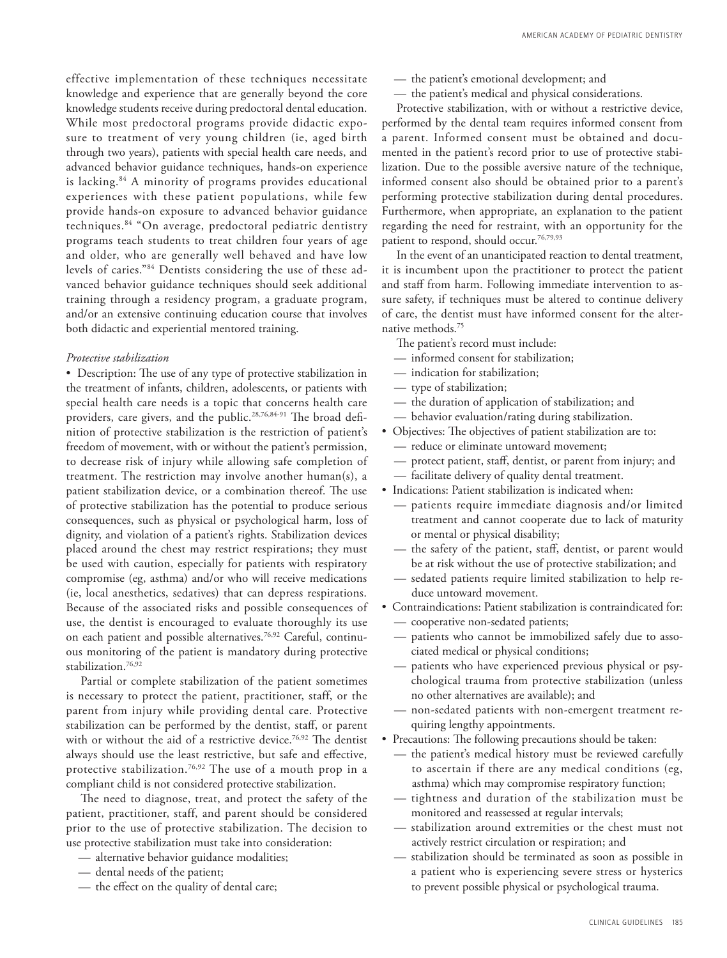effective implementation of these techniques necessitate knowledge and experience that are generally beyond the core knowledge students receive during predoctoral dental education. While most predoctoral programs provide didactic exposure to treatment of very young children (ie, aged birth through two years), patients with special health care needs, and advanced behavior guidance techniques, hands-on experience is lacking.84 A minority of programs provides educational experiences with these patient populations, while few provide hands-on exposure to advanced behavior guidance techniques.84 "On average, predoctoral pediatric dentistry programs teach students to treat children four years of age and older, who are generally well behaved and have low levels of caries."84 Dentists considering the use of these advanced behavior guidance techniques should seek additional training through a residency program, a graduate program, and/or an extensive continuing education course that involves both didactic and experiential mentored training.

#### *Protective stabilization*

• Description: The use of any type of protective stabilization in the treatment of infants, children, adolescents, or patients with special health care needs is a topic that concerns health care providers, care givers, and the public.<sup>28,76,84-91</sup> The broad definition of protective stabilization is the restriction of patient's freedom of movement, with or without the patient's permission, to decrease risk of injury while allowing safe completion of treatment. The restriction may involve another human(s), a patient stabilization device, or a combination thereof. The use of protective stabilization has the potential to produce serious consequences, such as physical or psychological harm, loss of dignity, and violation of a patient's rights. Stabilization devices placed around the chest may restrict respirations; they must be used with caution, especially for patients with respiratory compromise (eg, asthma) and/or who will receive medications (ie, local anesthetics, sedatives) that can depress respirations. Because of the associated risks and possible consequences of use, the dentist is encouraged to evaluate thoroughly its use on each patient and possible alternatives.<sup>76,92</sup> Careful, continuous monitoring of the patient is mandatory during protective stabilization.<sup>76,92</sup>

Partial or complete stabilization of the patient sometimes is necessary to protect the patient, practitioner, staff, or the parent from injury while providing dental care. Protective stabilization can be performed by the dentist, staff, or parent with or without the aid of a restrictive device.<sup>76,92</sup> The dentist always should use the least restrictive, but safe and effective, protective stabilization.76,92 The use of a mouth prop in a compliant child is not considered protective stabilization.

The need to diagnose, treat, and protect the safety of the patient, practitioner, staff, and parent should be considered prior to the use of protective stabilization. The decision to use protective stabilization must take into consideration:

- alternative behavior guidance modalities;
- dental needs of the patient;
- the effect on the quality of dental care;
- the patient's emotional development; and
- the patient's medical and physical considerations.

Protective stabilization, with or without a restrictive device, performed by the dental team requires informed consent from a parent. Informed consent must be obtained and documented in the patient's record prior to use of protective stabilization. Due to the possible aversive nature of the technique, informed consent also should be obtained prior to a parent's performing protective stabilization during dental procedures. Furthermore, when appropriate, an explanation to the patient regarding the need for restraint, with an opportunity for the patient to respond, should occur.<sup>76,79,93</sup>

In the event of an unanticipated reaction to dental treatment, it is incumbent upon the practitioner to protect the patient and staff from harm. Following immediate intervention to assure safety, if techniques must be altered to continue delivery of care, the dentist must have informed consent for the alternative methods.75

The patient's record must include:

- informed consent for stabilization;
- indication for stabilization;
- type of stabilization;
- the duration of application of stabilization; and
- behavior evaluation/rating during stabilization.
- Objectives: The objectives of patient stabilization are to:
	- reduce or eliminate untoward movement;
	- protect patient, staff, dentist, or parent from injury; and
- facilitate delivery of quality dental treatment.
- Indications: Patient stabilization is indicated when:
	- patients require immediate diagnosis and/or limited treatment and cannot cooperate due to lack of maturity or mental or physical disability;
	- the safety of the patient, staff, dentist, or parent would be at risk without the use of protective stabilization; and
	- sedated patients require limited stabilization to help re duce untoward movement.
- Contraindications: Patient stabilization is contraindicated for:
	- cooperative non-sedated patients;
	- patients who cannot be immobilized safely due to asso ciated medical or physical conditions;
	- patients who have experienced previous physical or psy chological trauma from protective stabilization (unless no other alternatives are available); and
	- non-sedated patients with non-emergent treatment re quiring lengthy appointments.
- Precautions: The following precautions should be taken:
	- the patient's medical history must be reviewed carefully to ascertain if there are any medical conditions (eg, asthma) which may compromise respiratory function;
	- tightness and duration of the stabilization must be monitored and reassessed at regular intervals;
	- stabilization around extremities or the chest must not actively restrict circulation or respiration; and
	- stabilization should be terminated as soon as possible in a patient who is experiencing severe stress or hysterics to prevent possible physical or psychological trauma.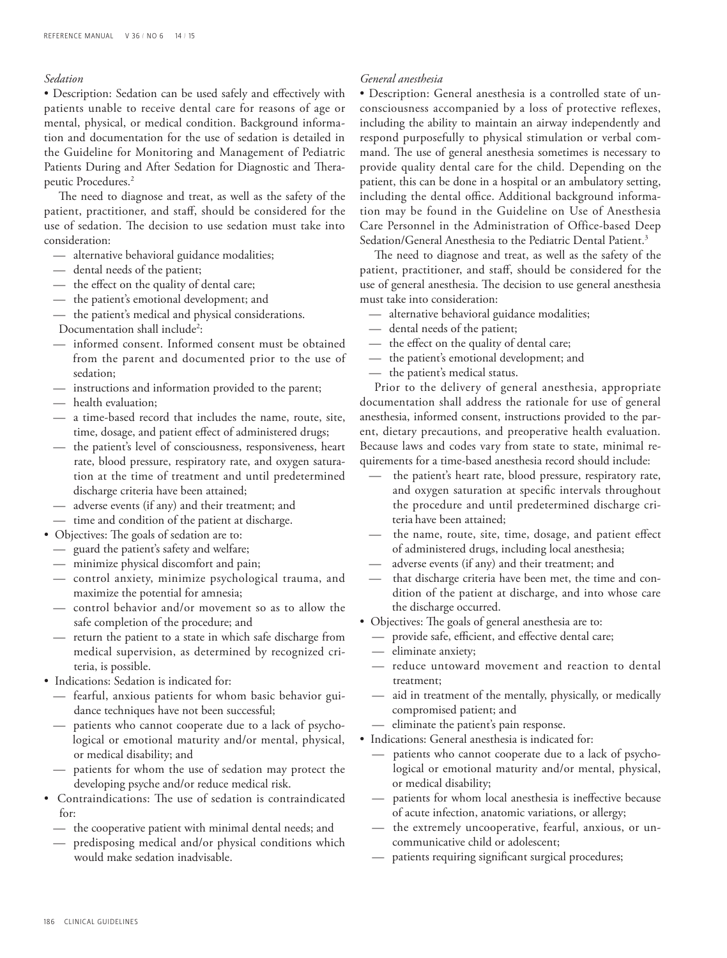#### *Sedation*

• Description: Sedation can be used safely and effectively with patients unable to receive dental care for reasons of age or mental, physical, or medical condition. Background information and documentation for the use of sedation is detailed in the Guideline for Monitoring and Management of Pediatric Patients During and After Sedation for Diagnostic and Therapeutic Procedures.2

The need to diagnose and treat, as well as the safety of the patient, practitioner, and staff, should be considered for the use of sedation. The decision to use sedation must take into consideration:

- alternative behavioral guidance modalities;
- dental needs of the patient;
- the effect on the quality of dental care;
- the patient's emotional development; and
- the patient's medical and physical considerations.
- Documentation shall include<sup>2</sup>:
- informed consent. Informed consent must be obtained from the parent and documented prior to the use of sedation;
- instructions and information provided to the parent;
- health evaluation;
- a time-based record that includes the name, route, site, time, dosage, and patient effect of administered drugs;
- the patient's level of consciousness, responsiveness, heart rate, blood pressure, respiratory rate, and oxygen satura tion at the time of treatment and until predetermined discharge criteria have been attained;
- adverse events (if any) and their treatment; and
- time and condition of the patient at discharge.
- Objectives: The goals of sedation are to:
	- guard the patient's safety and welfare;
	- minimize physical discomfort and pain;
	- control anxiety, minimize psychological trauma, and maximize the potential for amnesia;
	- control behavior and/or movement so as to allow the safe completion of the procedure; and
	- return the patient to a state in which safe discharge from medical supervision, as determined by recognized cri teria, is possible.
- Indications: Sedation is indicated for:
	- fearful, anxious patients for whom basic behavior gui dance techniques have not been successful;
	- patients who cannot cooperate due to a lack of psycho logical or emotional maturity and/or mental, physical, or medical disability; and
	- patients for whom the use of sedation may protect the developing psyche and/or reduce medical risk.
- Contraindications: The use of sedation is contraindicated for:
	- the cooperative patient with minimal dental needs; and
	- predisposing medical and/or physical conditions which would make sedation inadvisable.

#### *General anesthesia*

• Description: General anesthesia is a controlled state of unconsciousness accompanied by a loss of protective reflexes, including the ability to maintain an airway independently and respond purposefully to physical stimulation or verbal command. The use of general anesthesia sometimes is necessary to provide quality dental care for the child. Depending on the patient, this can be done in a hospital or an ambulatory setting, including the dental office. Additional background information may be found in the Guideline on Use of Anesthesia Care Personnel in the Administration of Office-based Deep Sedation/General Anesthesia to the Pediatric Dental Patient.<sup>3</sup>

The need to diagnose and treat, as well as the safety of the patient, practitioner, and staff, should be considered for the use of general anesthesia. The decision to use general anesthesia must take into consideration:

- alternative behavioral guidance modalities;
- dental needs of the patient;
- the effect on the quality of dental care;
- the patient's emotional development; and
- the patient's medical status.

Prior to the delivery of general anesthesia, appropriate documentation shall address the rationale for use of general anesthesia, informed consent, instructions provided to the parent, dietary precautions, and preoperative health evaluation. Because laws and codes vary from state to state, minimal requirements for a time-based anesthesia record should include:

- the patient's heart rate, blood pressure, respiratory rate, and oxygen saturation at specific intervals throughout the procedure and until predetermined discharge cri teria have been attained;
- the name, route, site, time, dosage, and patient effect of administered drugs, including local anesthesia;
- adverse events (if any) and their treatment; and
- that discharge criteria have been met, the time and con dition of the patient at discharge, and into whose care the discharge occurred.
- Objectives: The goals of general anesthesia are to:
	- provide safe, efficient, and effective dental care;
	- eliminate anxiety;
	- reduce untoward movement and reaction to dental treatment;
	- aid in treatment of the mentally, physically, or medically compromised patient; and
	- eliminate the patient's pain response.
- Indications: General anesthesia is indicated for:
	- patients who cannot cooperate due to a lack of psycho logical or emotional maturity and/or mental, physical, or medical disability;
	- patients for whom local anesthesia is ineffective because of acute infection, anatomic variations, or allergy;
	- the extremely uncooperative, fearful, anxious, or uncommunicative child or adolescent;
	- patients requiring significant surgical procedures;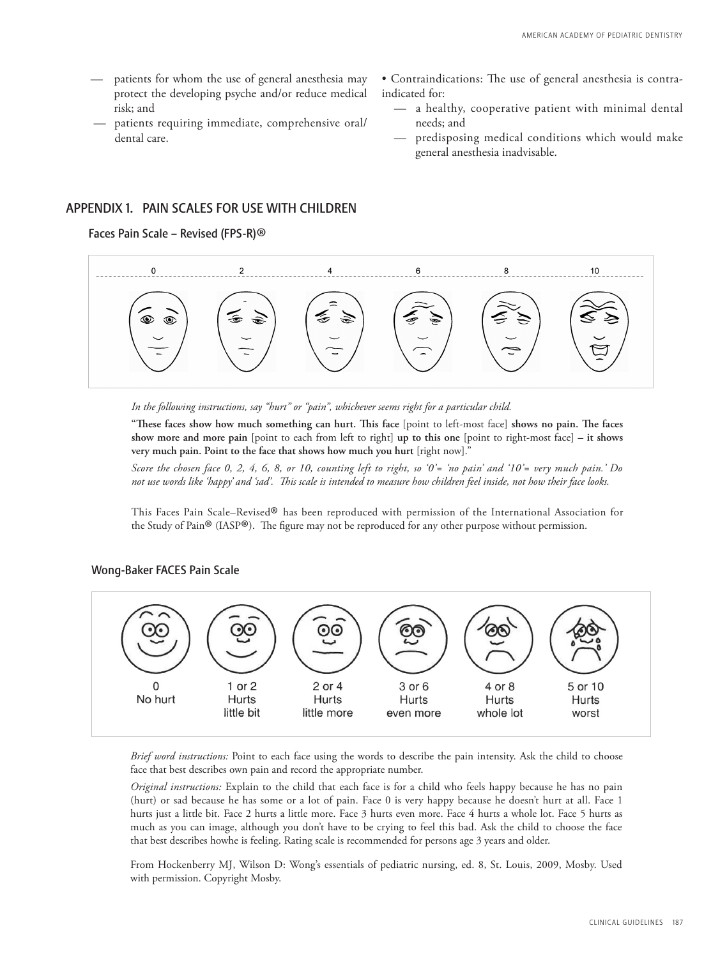- patients for whom the use of general anesthesia may protect the developing psyche and/or reduce medical risk; and
- patients requiring immediate, comprehensive oral/ dental care.
- Contraindications: The use of general anesthesia is contraindicated for:
	- a healthy, cooperative patient with minimal dental needs; and
	- predisposing medical conditions which would make general anesthesia inadvisable.

## APPENDIX 1. PAIN SCALES FOR USE WITH CHILDREN

# Faces Pain Scale – Revised (FPS-R) ®



#### *In the following instructions, say "hurt" or "pain", whichever seems right for a particular child.*

**"These faces show how much something can hurt. This face** [point to left-most face] **shows no pain. The faces show more and more pain** [point to each from left to right] **up to this one** [point to right-most face] **– it shows very much pain. Point to the face that shows how much you hurt** [right now]."

*Score the chosen face 0, 2, 4, 6, 8, or 10, counting left to right, so '0'= 'no pain' and '10'= very much pain.' Do not use words like 'happy' and 'sad'. This scale is intended to measure how children feel inside, not how their face looks.* 

This Faces Pain Scale–Revised® has been reproduced with permission of the International Association for<br>the Study of Pain® (IASP®). The figure may not be reproduced for any other purpose without permission. the Study of Pain® (IASP® ). The figure may not be reproduced for any other purpose without permission.



#### Wong-Baker FACES Pain Scale

*Brief word instructions:* Point to each face using the words to describe the pain intensity. Ask the child to choose face that best describes own pain and record the appropriate number.

*Original instructions:* Explain to the child that each face is for a child who feels happy because he has no pain (hurt) or sad because he has some or a lot of pain. Face 0 is very happy because he doesn't hurt at all. Face 1 hurts just a little bit. Face 2 hurts a little more. Face 3 hurts even more. Face 4 hurts a whole lot. Face 5 hurts as much as you can image, although you don't have to be crying to feel this bad. Ask the child to choose the face that best describes howhe is feeling. Rating scale is recommended for persons age 3 years and older.

From Hockenberry MJ, Wilson D: Wong's essentials of pediatric nursing, ed. 8, St. Louis, 2009, Mosby. Used with permission. Copyright Mosby.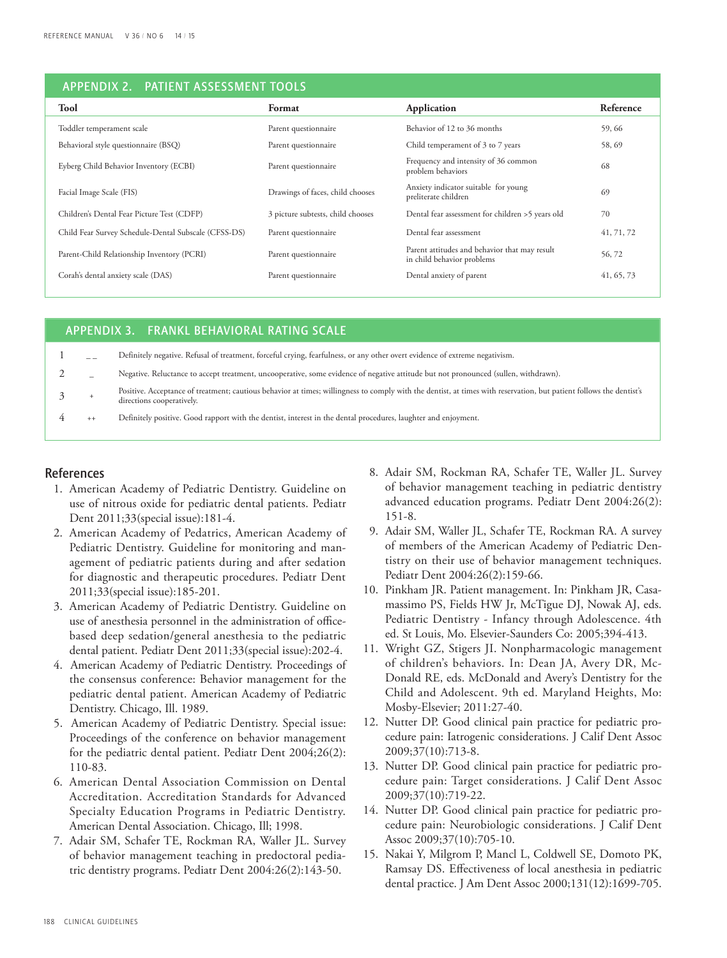# APPENDIX 2. PATIENT ASSESSMENT TOOLS

| Tool                                                 | Format                            | Application                                                                 | Reference  |
|------------------------------------------------------|-----------------------------------|-----------------------------------------------------------------------------|------------|
| Toddler temperament scale                            | Parent questionnaire              | Behavior of 12 to 36 months                                                 | 59,66      |
| Behavioral style questionnaire (BSQ)                 | Parent questionnaire              | Child temperament of 3 to 7 years                                           | 58,69      |
| Eyberg Child Behavior Inventory (ECBI)               | Parent questionnaire              | Frequency and intensity of 36 common<br>problem behaviors                   | 68         |
| Facial Image Scale (FIS)                             | Drawings of faces, child chooses  | Anxiety indicator suitable for young<br>preliterate children                | 69         |
| Children's Dental Fear Picture Test (CDFP)           | 3 picture subtests, child chooses | Dental fear assessment for children >5 years old                            | 70         |
| Child Fear Survey Schedule-Dental Subscale (CFSS-DS) | Parent questionnaire              | Dental fear assessment                                                      | 41, 71, 72 |
| Parent-Child Relationship Inventory (PCRI)           | Parent questionnaire              | Parent attitudes and behavior that may result<br>in child behavior problems | 56, 72     |
| Corah's dental anxiety scale (DAS)                   | Parent questionnaire              | Dental anxiety of parent                                                    | 41, 65, 73 |

# APPENDIX 3. FRANKL BEHAVIORAL RATING SCALE

|      | Definitely negative. Refusal of treatment, forceful crying, fearfulness, or any other overt evidence of extreme negativism.                                                                      |
|------|--------------------------------------------------------------------------------------------------------------------------------------------------------------------------------------------------|
|      | Negative. Reluctance to accept treatment, uncooperative, some evidence of negative attitude but not pronounced (sullen, withdrawn).                                                              |
| $+$  | Positive. Acceptance of treatment; cautious behavior at times; willingness to comply with the dentist, at times with reservation, but patient follows the dentist's<br>directions cooperatively. |
| $++$ | Definitely positive. Good rapport with the dentist, interest in the dental procedures, laughter and enjoyment.                                                                                   |

## **References**

- 1. American Academy of Pediatric Dentistry. Guideline on use of nitrous oxide for pediatric dental patients. Pediatr Dent 2011;33(special issue):181-4.
- 2. American Academy of Pedatrics, American Academy of Pediatric Dentistry. Guideline for monitoring and management of pediatric patients during and after sedation for diagnostic and therapeutic procedures. Pediatr Dent 2011;33(special issue):185-201.
- 3. American Academy of Pediatric Dentistry. Guideline on use of anesthesia personnel in the administration of officebased deep sedation/general anesthesia to the pediatric dental patient. Pediatr Dent 2011;33(special issue):202-4.
- 4. American Academy of Pediatric Dentistry. Proceedings of the consensus conference: Behavior management for the pediatric dental patient. American Academy of Pediatric Dentistry. Chicago, Ill. 1989.
- 5. American Academy of Pediatric Dentistry. Special issue: Proceedings of the conference on behavior management for the pediatric dental patient. Pediatr Dent 2004;26(2): 110-83.
- 6. American Dental Association Commission on Dental Accreditation. Accreditation Standards for Advanced Specialty Education Programs in Pediatric Dentistry. American Dental Association. Chicago, Ill; 1998.
- 7. Adair SM, Schafer TE, Rockman RA, Waller JL. Survey of behavior management teaching in predoctoral pediatric dentistry programs. Pediatr Dent 2004:26(2):143-50.
- 8. Adair SM, Rockman RA, Schafer TE, Waller JL. Survey of behavior management teaching in pediatric dentistry advanced education programs. Pediatr Dent 2004:26(2): 151-8.
- 9. Adair SM, Waller JL, Schafer TE, Rockman RA. A survey of members of the American Academy of Pediatric Dentistry on their use of behavior management techniques. Pediatr Dent 2004:26(2):159-66.
- 10. Pinkham JR. Patient management. In: Pinkham JR, Casamassimo PS, Fields HW Jr, McTigue DJ, Nowak AJ, eds. Pediatric Dentistry - Infancy through Adolescence. 4th ed. St Louis, Mo. Elsevier-Saunders Co: 2005;394-413.
- 11. Wright GZ, Stigers JI. Nonpharmacologic management of children's behaviors. In: Dean JA, Avery DR, Mc-Donald RE, eds. McDonald and Avery's Dentistry for the Child and Adolescent. 9th ed. Maryland Heights, Mo: Mosby-Elsevier; 2011:27-40.
- 12. Nutter DP. Good clinical pain practice for pediatric procedure pain: Iatrogenic considerations. J Calif Dent Assoc 2009;37(10):713-8.
- 13. Nutter DP. Good clinical pain practice for pediatric procedure pain: Target considerations. J Calif Dent Assoc 2009;37(10):719-22.
- 14. Nutter DP. Good clinical pain practice for pediatric procedure pain: Neurobiologic considerations. J Calif Dent Assoc 2009;37(10):705-10.
- 15. Nakai Y, Milgrom P, Mancl L, Coldwell SE, Domoto PK, Ramsay DS. Effectiveness of local anesthesia in pediatric dental practice. J Am Dent Assoc 2000;131(12):1699-705.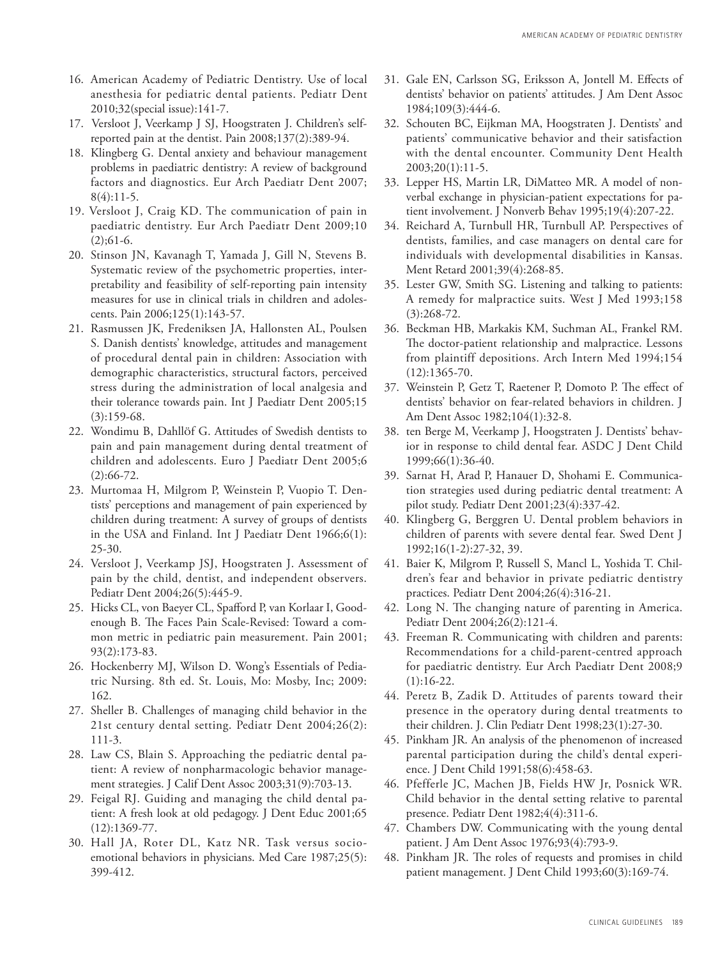- 16. American Academy of Pediatric Dentistry. Use of local anesthesia for pediatric dental patients. Pediatr Dent 2010;32(special issue):141-7.
- 17. Versloot J, Veerkamp J SJ, Hoogstraten J. Children's selfreported pain at the dentist. Pain 2008;137(2):389-94.
- 18. Klingberg G. Dental anxiety and behaviour management problems in paediatric dentistry: A review of background factors and diagnostics. Eur Arch Paediatr Dent 2007;  $8(4):11-5.$
- 19. Versloot J, Craig KD. The communication of pain in paediatric dentistry. Eur Arch Paediatr Dent 2009;10  $(2); 61-6.$
- 20. Stinson JN, Kavanagh T, Yamada J, Gill N, Stevens B. Systematic review of the psychometric properties, interpretability and feasibility of self-reporting pain intensity measures for use in clinical trials in children and adolescents. Pain 2006;125(1):143-57.
- 21. Rasmussen JK, Fredeniksen JA, Hallonsten AL, Poulsen S. Danish dentists' knowledge, attitudes and management of procedural dental pain in children: Association with demographic characteristics, structural factors, perceived stress during the administration of local analgesia and their tolerance towards pain. Int J Paediatr Dent 2005;15 (3):159-68.
- 22. Wondimu B, DahllÖf G. Attitudes of Swedish dentists to pain and pain management during dental treatment of children and adolescents. Euro J Paediatr Dent 2005;6  $(2):66-72.$
- 23. Murtomaa H, Milgrom P, Weinstein P, Vuopio T. Dentists' perceptions and management of pain experienced by children during treatment: A survey of groups of dentists in the USA and Finland. Int J Paediatr Dent 1966;6(1): 25-30.
- 24. Versloot J, Veerkamp JSJ, Hoogstraten J. Assessment of pain by the child, dentist, and independent observers. Pediatr Dent 2004;26(5):445-9.
- 25. Hicks CL, von Baeyer CL, Spafford P, van Korlaar I, Goodenough B. The Faces Pain Scale-Revised: Toward a common metric in pediatric pain measurement. Pain 2001; 93(2):173-83.
- 26. Hockenberry MJ, Wilson D. Wong's Essentials of Pediatric Nursing. 8th ed. St. Louis, Mo: Mosby, Inc; 2009: 162.
- 27. Sheller B. Challenges of managing child behavior in the 21st century dental setting. Pediatr Dent 2004;26(2): 111-3.
- 28. Law CS, Blain S. Approaching the pediatric dental patient: A review of nonpharmacologic behavior management strategies. J Calif Dent Assoc 2003;31(9):703-13.
- 29. Feigal RJ. Guiding and managing the child dental patient: A fresh look at old pedagogy. J Dent Educ 2001;65 (12):1369-77.
- 30. Hall JA, Roter DL, Katz NR. Task versus socioemotional behaviors in physicians. Med Care 1987;25(5): 399-412.
- 31. Gale EN, Carlsson SG, Eriksson A, Jontell M. Effects of dentists' behavior on patients' attitudes. J Am Dent Assoc 1984;109(3):444-6.
- 32. Schouten BC, Eijkman MA, Hoogstraten J. Dentists' and patients' communicative behavior and their satisfaction with the dental encounter. Community Dent Health 2003;20(1):11-5.
- 33. Lepper HS, Martin LR, DiMatteo MR. A model of nonverbal exchange in physician-patient expectations for patient involvement. J Nonverb Behav 1995;19(4):207-22.
- 34. Reichard A, Turnbull HR, Turnbull AP. Perspectives of dentists, families, and case managers on dental care for individuals with developmental disabilities in Kansas. Ment Retard 2001;39(4):268-85.
- 35. Lester GW, Smith SG. Listening and talking to patients: A remedy for malpractice suits. West J Med 1993;158 (3):268-72.
- 36. Beckman HB, Markakis KM, Suchman AL, Frankel RM. The doctor-patient relationship and malpractice. Lessons from plaintiff depositions. Arch Intern Med 1994;154 (12):1365-70.
- 37. Weinstein P, Getz T, Raetener P, Domoto P. The effect of dentists' behavior on fear-related behaviors in children. J Am Dent Assoc 1982;104(1):32-8.
- 38. ten Berge M, Veerkamp J, Hoogstraten J. Dentists' behavior in response to child dental fear. ASDC J Dent Child 1999;66(1):36-40.
- 39. Sarnat H, Arad P, Hanauer D, Shohami E. Communication strategies used during pediatric dental treatment: A pilot study. Pediatr Dent 2001;23(4):337-42.
- 40. Klingberg G, Berggren U. Dental problem behaviors in children of parents with severe dental fear. Swed Dent J 1992;16(1-2):27-32, 39.
- 41. Baier K, Milgrom P, Russell S, Mancl L, Yoshida T. Children's fear and behavior in private pediatric dentistry practices. Pediatr Dent 2004;26(4):316-21.
- 42. Long N. The changing nature of parenting in America. Pediatr Dent 2004;26(2):121-4.
- 43. Freeman R. Communicating with children and parents: Recommendations for a child-parent-centred approach for paediatric dentistry. Eur Arch Paediatr Dent 2008;9 (1):16-22.
- 44. Peretz B, Zadik D. Attitudes of parents toward their presence in the operatory during dental treatments to their children. J. Clin Pediatr Dent 1998;23(1):27-30.
- 45. Pinkham JR. An analysis of the phenomenon of increased parental participation during the child's dental experience. J Dent Child 1991;58(6):458-63.
- 46. Pfefferle JC, Machen JB, Fields HW Jr, Posnick WR. Child behavior in the dental setting relative to parental presence. Pediatr Dent 1982;4(4):311-6.
- 47. Chambers DW. Communicating with the young dental patient. J Am Dent Assoc 1976;93(4):793-9.
- 48. Pinkham JR. The roles of requests and promises in child patient management. J Dent Child 1993;60(3):169-74.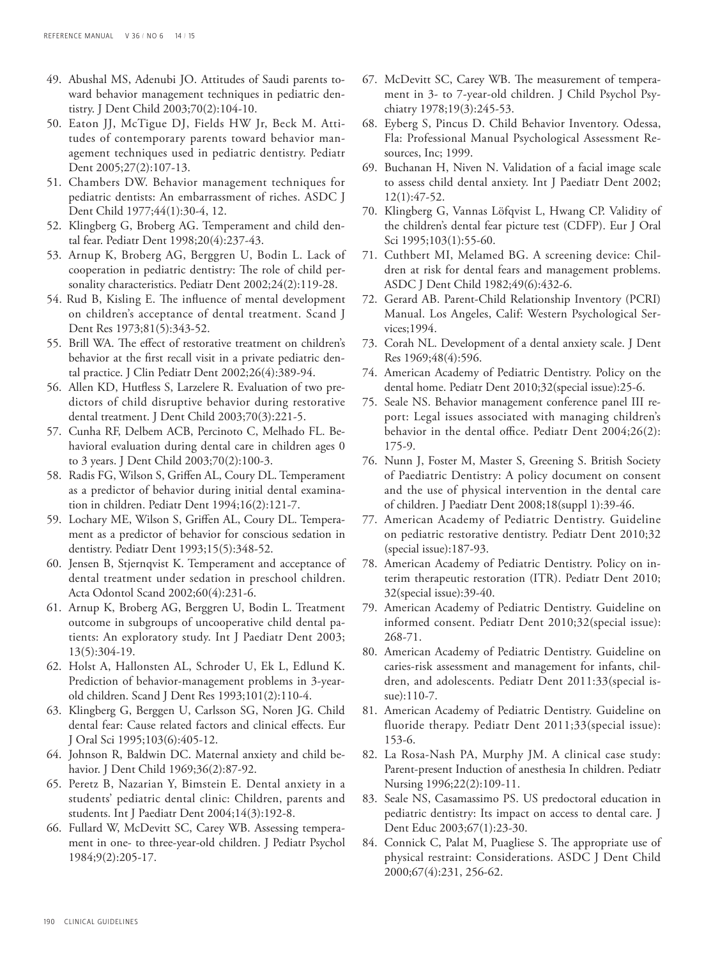- 49. Abushal MS, Adenubi JO. Attitudes of Saudi parents toward behavior management techniques in pediatric dentistry. J Dent Child 2003;70(2):104-10.
- 50. Eaton JJ, McTigue DJ, Fields HW Jr, Beck M. Attitudes of contemporary parents toward behavior management techniques used in pediatric dentistry. Pediatr Dent 2005;27(2):107-13.
- 51. Chambers DW. Behavior management techniques for pediatric dentists: An embarrassment of riches. ASDC J Dent Child 1977;44(1):30-4, 12.
- 52. Klingberg G, Broberg AG. Temperament and child dental fear. Pediatr Dent 1998;20(4):237-43.
- 53. Arnup K, Broberg AG, Berggren U, Bodin L. Lack of cooperation in pediatric dentistry: The role of child personality characteristics. Pediatr Dent 2002;24(2):119-28.
- 54. Rud B, Kisling E. The influence of mental development on children's acceptance of dental treatment. Scand J Dent Res 1973;81(5):343-52.
- 55. Brill WA. The effect of restorative treatment on children's behavior at the first recall visit in a private pediatric dental practice. J Clin Pediatr Dent 2002;26(4):389-94.
- 56. Allen KD, Hutfless S, Larzelere R. Evaluation of two predictors of child disruptive behavior during restorative dental treatment. J Dent Child 2003;70(3):221-5.
- 57. Cunha RF, Delbem ACB, Percinoto C, Melhado FL. Behavioral evaluation during dental care in children ages 0 to 3 years. J Dent Child 2003;70(2):100-3.
- 58. Radis FG, Wilson S, Griffen AL, Coury DL. Temperament as a predictor of behavior during initial dental examination in children. Pediatr Dent 1994;16(2):121-7.
- 59. Lochary ME, Wilson S, Griffen AL, Coury DL. Temperament as a predictor of behavior for conscious sedation in dentistry. Pediatr Dent 1993;15(5):348-52.
- 60. Jensen B, Stjernqvist K. Temperament and acceptance of dental treatment under sedation in preschool children. Acta Odontol Scand 2002;60(4):231-6.
- 61. Arnup K, Broberg AG, Berggren U, Bodin L. Treatment outcome in subgroups of uncooperative child dental patients: An exploratory study. Int J Paediatr Dent 2003; 13(5):304-19.
- 62. Holst A, Hallonsten AL, Schroder U, Ek L, Edlund K. Prediction of behavior-management problems in 3-yearold children. Scand J Dent Res 1993;101(2):110-4.
- 63. Klingberg G, Berggen U, Carlsson SG, Noren JG. Child dental fear: Cause related factors and clinical effects. Eur J Oral Sci 1995;103(6):405-12.
- 64. Johnson R, Baldwin DC. Maternal anxiety and child behavior. J Dent Child 1969;36(2):87-92.
- 65. Peretz B, Nazarian Y, Bimstein E. Dental anxiety in a students' pediatric dental clinic: Children, parents and students. Int J Paediatr Dent 2004;14(3):192-8.
- 66. Fullard W, McDevitt SC, Carey WB. Assessing temperament in one- to three-year-old children. J Pediatr Psychol 1984;9(2):205-17.
- 67. McDevitt SC, Carey WB. The measurement of temperament in 3- to 7-year-old children. J Child Psychol Psychiatry 1978;19(3):245-53.
- 68. Eyberg S, Pincus D. Child Behavior Inventory. Odessa, Fla: Professional Manual Psychological Assessment Resources, Inc; 1999.
- 69. Buchanan H, Niven N. Validation of a facial image scale to assess child dental anxiety. Int J Paediatr Dent 2002; 12(1):47-52.
- 70. Klingberg G, Vannas Löfqvist L, Hwang CP. Validity of the children's dental fear picture test (CDFP). Eur J Oral Sci 1995;103(1):55-60.
- 71. Cuthbert MI, Melamed BG. A screening device: Children at risk for dental fears and management problems. ASDC J Dent Child 1982;49(6):432-6.
- 72. Gerard AB. Parent-Child Relationship Inventory (PCRI) Manual. Los Angeles, Calif: Western Psychological Services;1994.
- 73. Corah NL. Development of a dental anxiety scale. J Dent Res 1969;48(4):596.
- 74. American Academy of Pediatric Dentistry. Policy on the dental home. Pediatr Dent 2010;32(special issue):25-6.
- 75. Seale NS. Behavior management conference panel III report: Legal issues associated with managing children's behavior in the dental office. Pediatr Dent 2004;26(2): 175-9.
- 76. Nunn J, Foster M, Master S, Greening S. British Society of Paediatric Dentistry: A policy document on consent and the use of physical intervention in the dental care of children. J Paediatr Dent 2008;18(suppl 1):39-46.
- 77. American Academy of Pediatric Dentistry. Guideline on pediatric restorative dentistry. Pediatr Dent 2010;32 (special issue):187-93.
- 78. American Academy of Pediatric Dentistry. Policy on interim therapeutic restoration (ITR). Pediatr Dent 2010; 32(special issue):39-40.
- 79. American Academy of Pediatric Dentistry. Guideline on informed consent. Pediatr Dent 2010;32(special issue): 268-71.
- 80. American Academy of Pediatric Dentistry. Guideline on caries-risk assessment and management for infants, children, and adolescents. Pediatr Dent 2011:33(special issue):110-7.
- 81. American Academy of Pediatric Dentistry. Guideline on fluoride therapy. Pediatr Dent 2011;33(special issue): 153-6.
- 82. La Rosa-Nash PA, Murphy JM. A clinical case study: Parent-present Induction of anesthesia In children. Pediatr Nursing 1996;22(2):109-11.
- 83. Seale NS, Casamassimo PS. US predoctoral education in pediatric dentistry: Its impact on access to dental care. J Dent Educ 2003;67(1):23-30.
- 84. Connick C, Palat M, Puagliese S. The appropriate use of physical restraint: Considerations. ASDC J Dent Child 2000;67(4):231, 256-62.